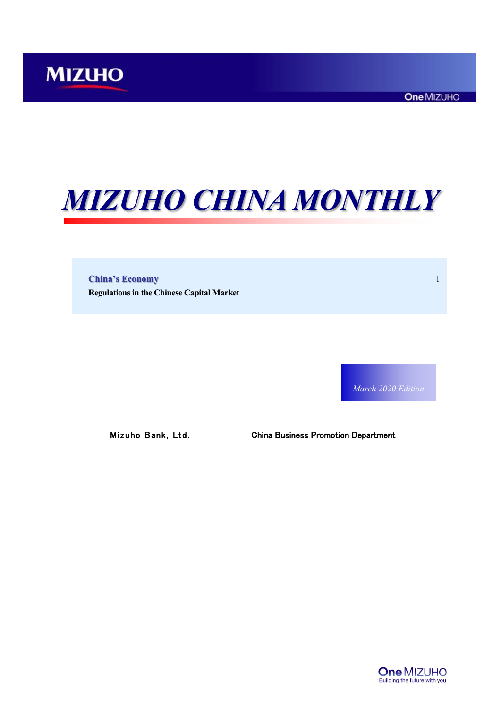# *MIZUHO CHINA MONTHLY*

**China's Economy** 1 **Regulationsin the Chinese Capital Market**

*March 2020 Edition*

Mizuho Bank, Ltd. China Business Promotion Department

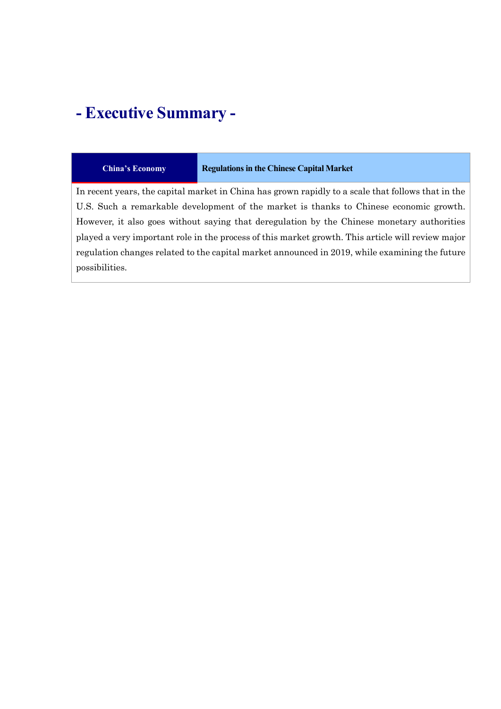## **- Executive Summary -**

#### **China's Economy Regulations in the Chinese Capital Market**

In recent years, the capital market in China has grown rapidly to a scale that follows that in the U.S. Such a remarkable development of the market is thanks to Chinese economic growth. However, it also goes without saying that deregulation by the Chinese monetary authorities played a very important role in the process of this market growth. This article will review major regulation changes related to the capital market announced in 2019, while examining the future possibilities.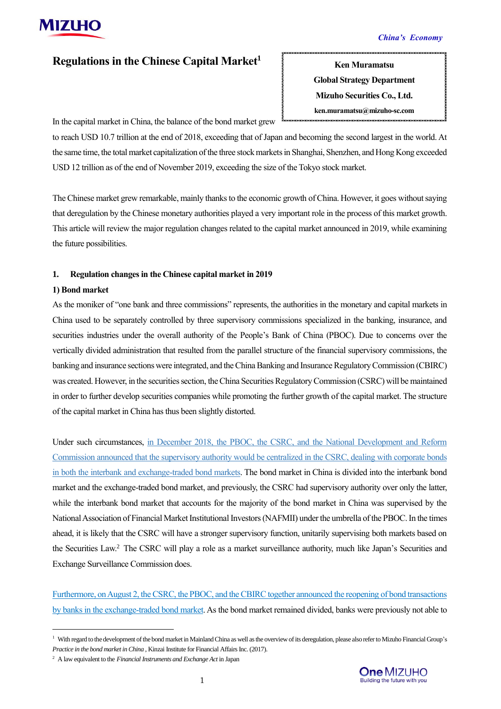## **MIZIHO**

#### *China's Economy*

### **Regulations in the Chinese Capital Market<sup>1</sup>**

**Ken Muramatsu Global Strategy Department Mizuho Securities Co., Ltd. ken.muramatsu@mizuho-sc.com**

In the capital market in China, the balance of the bond market grew

to reach USD 10.7 trillion at the end of 2018, exceeding that of Japan and becoming the second largest in the world. At the same time, the total market capitalization of the three stock markets in Shanghai, Shenzhen, and Hong Kong exceeded USD 12 trillion as of the end of November 2019, exceeding the size of the Tokyo stock market.

The Chinese market grew remarkable, mainly thanks to the economic growth of China. However, it goes without saying that deregulation by the Chinese monetary authorities played a very important role in the process of this market growth. This article will review the major regulation changes related to the capital market announced in 2019, while examining the future possibilities.

#### **1. Regulation changes in the Chinese capital market in 2019**

#### **1) Bond market**

As the moniker of "one bank and three commissions" represents, the authorities in the monetary and capital markets in China used to be separately controlled by three supervisory commissions specialized in the banking, insurance, and securities industries under the overall authority of the People's Bank of China (PBOC). Due to concerns over the vertically divided administration that resulted from the parallel structure of the financial supervisory commissions, the banking and insurance sections were integrated, and the ChinaBanking and Insurance Regulatory Commission (CBIRC) was created. However, in the securities section, the China Securities Regulatory Commission (CSRC) will be maintained in order to further develop securities companies while promoting the further growth of the capital market. The structure of the capital market in China has thus been slightly distorted.

Under such circumstances, in December 2018, the PBOC, the CSRC, and the National Development and Reform Commission announced that the supervisory authority would be centralized in the CSRC, dealing with corporate bonds in both the interbank and exchange-traded bond markets. The bond market in China is divided into the interbank bond market and the exchange-traded bond market, and previously, the CSRC had supervisory authority over only the latter, while the interbank bond market that accounts for the majority of the bond market in China was supervised by the National Association of Financial Market Institutional Investors (NAFMII) under the umbrella of the PBOC. In the times ahead, it is likely that the CSRC will have a stronger supervisory function, unitarily supervising both markets based on the Securities Law. <sup>2</sup> The CSRC will play a role as a market surveillance authority, much like Japan's Securities and Exchange Surveillance Commission does.

Furthermore, on August 2, the CSRC, the PBOC, and the CBIRC together announced the reopening of bond transactions by banks in the exchange-traded bond market. As the bond market remained divided, banks were previously not able to



<sup>&</sup>lt;sup>1</sup> With regard to the development of the bond market in Mainland China as well as the overview of its deregulation, please also refer to Mizuho Financial Group's *Practice in the bond market in China* , Kinzai Institute for Financial Affairs Inc. (2017).

<sup>2</sup> A law equivalent to the *Financial Instruments and Exchange Act* in Japan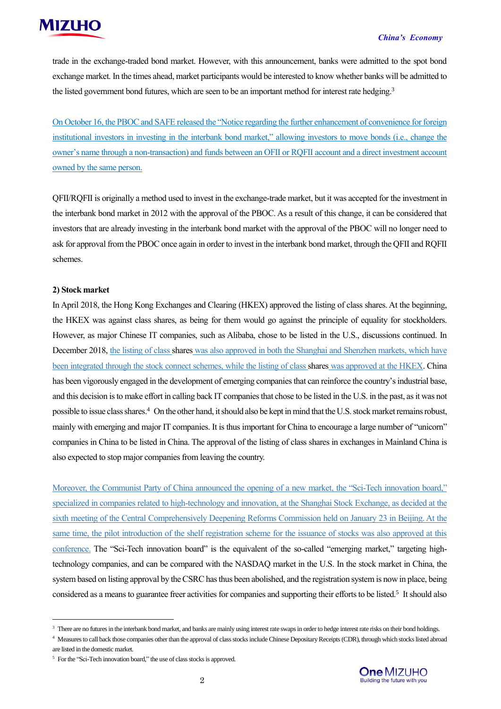

trade in the exchange-traded bond market. However, with this announcement, banks were admitted to the spot bond exchange market. In the times ahead, market participants would be interested to know whether banks will be admitted to the listed government bond futures, which are seen to be an important method for interest rate hedging.<sup>3</sup>

On October 16, the PBOC and SAFE released the "Notice regarding the further enhancement of convenience for foreign institutional investors in investing in the interbank bond market," allowing investors to move bonds (i.e., change the owner's name through a non-transaction) and funds between an OFII or RQFII account and a direct investment account owned by the same person.

QFII/RQFII is originally a method used to invest in the exchange-trade market, but it was accepted for the investment in the interbank bond market in 2012 with the approval of the PBOC. As a result of this change, it can be considered that investors that are already investing in the interbank bond market with the approval of the PBOC will no longer need to ask for approval from the PBOC once again in order to invest in the interbank bond market, through the QFII and RQFII schemes.

#### **2) Stock market**

In April 2018, the Hong Kong Exchanges and Clearing (HKEX) approved the listing of class shares. At the beginning, the HKEX was against class shares, as being for them would go against the principle of equality for stockholders. However, as major Chinese IT companies, such as Alibaba, chose to be listed in the U.S., discussions continued. In December 2018, the listing of class shares was also approved in both the Shanghai and Shenzhen markets, which have been integrated through the stock connect schemes, while the listing of class shares was approved at the HKEX. China has been vigorously engaged in the development of emerging companies that can reinforce the country's industrial base, and this decision is to make effort in calling back IT companies that chose to be listed in the U.S. in the past, as it was not possible to issue class shares. <sup>4</sup> On the other hand, it should also be kept in mind that the U.S. stock market remains robust, mainly with emerging and major IT companies. It is thus important for China to encourage a large number of "unicorn" companies in China to be listed in China. The approval of the listing of class shares in exchanges in Mainland China is also expected to stop major companies from leaving the country.

Moreover, the Communist Party of China announced the opening of a new market, the "Sci-Tech innovation board," specialized in companies related to high-technology and innovation, at the Shanghai Stock Exchange, as decided at the sixth meeting of the Central Comprehensively Deepening Reforms Commission held on January 23 in Beijing. At the same time, the pilot introduction of the shelf registration scheme for the issuance of stocks was also approved at this conference. The "Sci-Tech innovation board" is the equivalent of the so-called "emerging market," targeting hightechnology companies, and can be compared with the NASDAQ market in the U.S. In the stock market in China, the system based on listing approval by the CSRC has thus been abolished, and the registration system is now in place, being considered as a means to guarantee freer activities for companies and supporting their efforts to be listed.<sup>5</sup> It should also



<sup>&</sup>lt;sup>3</sup> There are no futures in the interbank bond market, and banks are mainly using interest rate swaps in order to hedge interest rate risks on their bond holdings.

<sup>4</sup> Measures to call back those companies other than the approval of class stocks include Chinese Depositary Receipts (CDR), through which stocks listed abroad are listed in the domestic market.

<sup>&</sup>lt;sup>5</sup> For the "Sci-Tech innovation board," the use of class stocks is approved.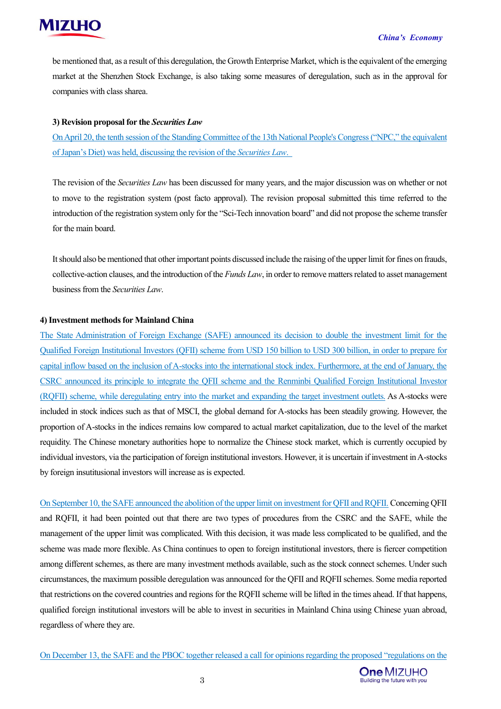

be mentioned that, as a result of this deregulation, the Growth Enterprise Market, which is the equivalent of the emerging market at the Shenzhen Stock Exchange, is also taking some measures of deregulation, such as in the approval for companies with class sharea.

#### **3) Revision proposal for the** *Securities Law*

On April 20, the tenth session of the Standing Committee of the 13th National People's Congress("NPC," the equivalent of Japan's Diet) was held, discussing the revision of the *Securities Law*.

The revision of the *Securities Law* has been discussed for many years, and the major discussion was on whether or not to move to the registration system (post facto approval). The revision proposal submitted this time referred to the introduction of the registration system only for the "Sci-Tech innovation board" and did not propose the scheme transfer for the main board.

It should also be mentioned that other important points discussed include the raising of the upper limit for fines on frauds, collective-action clauses, and the introduction of the *Funds Law*, in order to remove matters related to asset management business from the *Securities Law*.

#### **4) Investment methods for Mainland China**

The State Administration of Foreign Exchange (SAFE) announced its decision to double the investment limit for the Qualified Foreign Institutional Investors (QFII) scheme from USD 150 billion to USD 300 billion, in order to prepare for capital inflow based on the inclusion of A-stocks into the international stock index. Furthermore, at the end of January, the CSRC announced its principle to integrate the QFII scheme and the Renminbi Qualified Foreign Institutional Investor (RQFII) scheme, while deregulating entry into the market and expanding the target investment outlets. As A-stocks were included in stock indices such as that of MSCI, the global demand for A-stocks has been steadily growing. However, the proportion of A-stocks in the indices remains low compared to actual market capitalization, due to the level of the market requidity. The Chinese monetary authorities hope to normalize the Chinese stock market, which is currently occupied by individual investors, via the participation of foreign institutional investors. However, it is uncertain if investment in A-stocks by foreign insutitusional investors will increase as is expected.

On September 10, the SAFE announced the abolition of the upper limit on investment for QFII and RQFII. Concerning QFII and RQFII, it had been pointed out that there are two types of procedures from the CSRC and the SAFE, while the management of the upper limit was complicated. With this decision, it was made less complicated to be qualified, and the scheme was made more flexible. As China continues to open to foreign institutional investors, there is fiercer competition among different schemes, as there are many investment methods available, such as the stock connect schemes. Under such circumstances, the maximum possible deregulation was announced for the QFII and RQFIIschemes. Some media reported that restrictions on the covered countries and regions for the ROFII scheme will be lifted in the times ahead. If that happens, qualified foreign institutional investors will be able to invest in securities in Mainland China using Chinese yuan abroad, regardless of where they are.

On December 13, the SAFE and the PBOC together released a call for opinions regarding the proposed "regulations on the

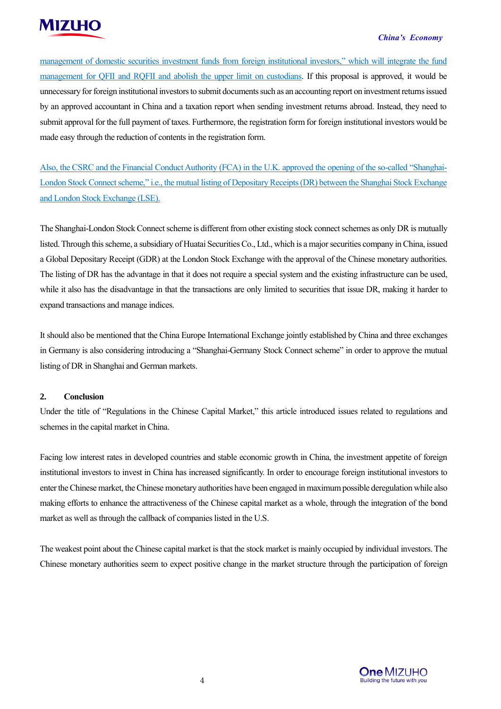## **MIZIHO**

#### *China's Economy*

management of domestic securities investment funds from foreign institutional investors," which will integrate the fund management for QFII and RQFII and abolish the upper limit on custodians. If this proposal is approved, it would be unnecessary for foreign institutional investors to submit documents such as an accounting report on investment returns issued by an approved accountant in China and a taxation report when sending investment returns abroad. Instead, they need to submit approval for the full payment of taxes. Furthermore, the registration form for foreign institutional investors would be made easy through the reduction of contents in the registration form.

Also, the CSRC and the Financial Conduct Authority (FCA) in the U.K. approved the opening of the so-called "Shanghai-London Stock Connect scheme," i.e., the mutual listing of Depositary Receipts (DR) between the Shanghai Stock Exchange and London Stock Exchange (LSE).

The Shanghai-London Stock Connect scheme is different from other existing stock connect schemes as only DR is mutually listed. Through this scheme, a subsidiary of Huatai SecuritiesCo., Ltd., which is a major securities company in China, issued a Global Depositary Receipt (GDR) at the London Stock Exchange with the approval of the Chinese monetary authorities. The listing of DR has the advantage in that it does not require a special system and the existing infrastructure can be used, while it also has the disadvantage in that the transactions are only limited to securities that issue DR, making it harder to expand transactions and manage indices.

It should also be mentioned that the China Europe International Exchange jointly established by China and three exchanges in Germany is also considering introducing a "Shanghai-Germany Stock Connect scheme" in order to approve the mutual listing of DR in Shanghai and German markets.

#### **2. Conclusion**

Under the title of "Regulations in the Chinese Capital Market," this article introduced issues related to regulations and schemes in the capital market in China.

Facing low interest rates in developed countries and stable economic growth in China, the investment appetite of foreign institutional investors to invest in China has increased significantly. In order to encourage foreign institutional investors to enter the Chinese market, the Chinese monetary authorities have been engaged in maximum possible deregulation while also making efforts to enhance the attractiveness of the Chinese capital market as a whole, through the integration of the bond market as well as through the callback of companies listed in the U.S.

The weakest point about the Chinese capital market is that the stock market is mainly occupied by individual investors. The Chinese monetary authorities seem to expect positive change in the market structure through the participation of foreign